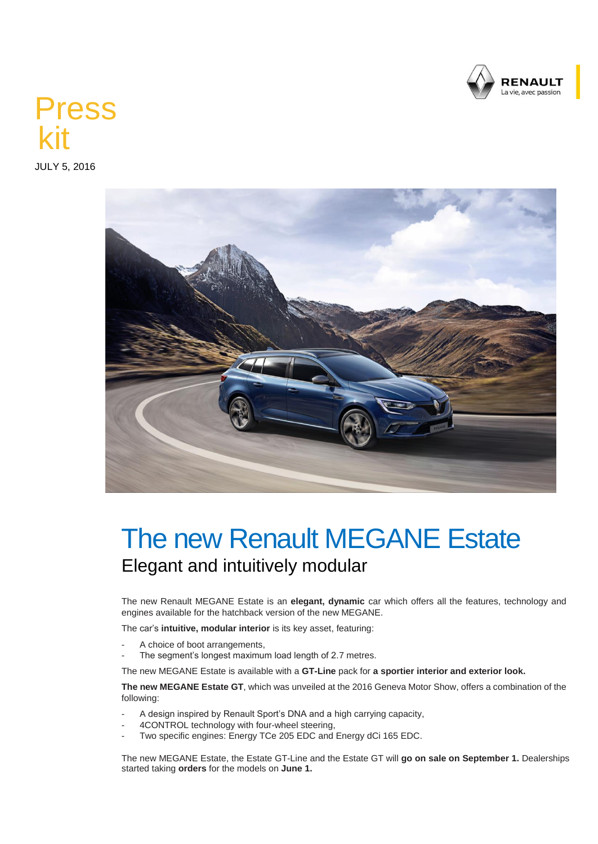

## Press kit

JULY 5, 2016



## The new Renault MEGANE Estate Elegant and intuitively modular

The new Renault MEGANE Estate is an **elegant, dynamic** car which offers all the features, technology and engines available for the hatchback version of the new MEGANE.

The car's **intuitive, modular interior** is its key asset, featuring:

- A choice of boot arrangements,
- The segment's longest maximum load length of 2.7 metres.

The new MEGANE Estate is available with a **GT-Line** pack for **a sportier interior and exterior look.**

**The new MEGANE Estate GT**, which was unveiled at the 2016 Geneva Motor Show, offers a combination of the following:

- A design inspired by Renault Sport's DNA and a high carrying capacity,
- 4CONTROL technology with four-wheel steering,
- Two specific engines: Energy TCe 205 EDC and Energy dCi 165 EDC.

The new MEGANE Estate, the Estate GT-Line and the Estate GT will **go on sale on September 1.** Dealerships started taking **orders** for the models on **June 1.**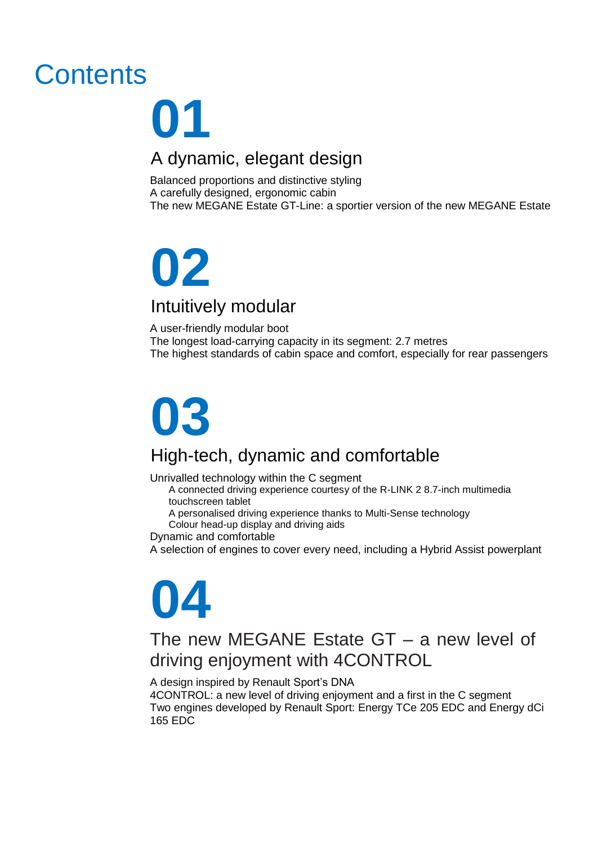## **Contents**

## **2** A dynamic, elegant design **01**

Balanced proportions and distinctive styling<br>A carefully designed, ergonomic cabin<br>The new MEGANE Estate GT-Line: a sport<br> A carefully designed, ergonomic cabin The new MEGANE Estate GT-Line: a sportier version of the new MEGANE Estate

## **02** Intuitively modular

A user-friendly modular boot The longest load-carrying capacity in its segment: 2.7 metres The highest standards of cabin space and comfort, especially for rear passengers

## **03**

### High-tech, dynamic and comfortable

Unrivalled technology within the C segment

A connected driving experience courtesy of the R-LINK 2 8.7-inch multimedia touchscreen tablet

A personalised driving experience thanks to Multi-Sense technology

Colour head-up display and driving aids

Dynamic and comfortable

A selection of engines to cover every need, including a Hybrid Assist powerplant



### The new MEGANE Estate GT – a new level of driving enjoyment with 4CONTROL

A design inspired by Renault Sport's DNA

4CONTROL: a new level of driving enjoyment and a first in the C segment Two engines developed by Renault Sport: Energy TCe 205 EDC and Energy dCi 165 EDC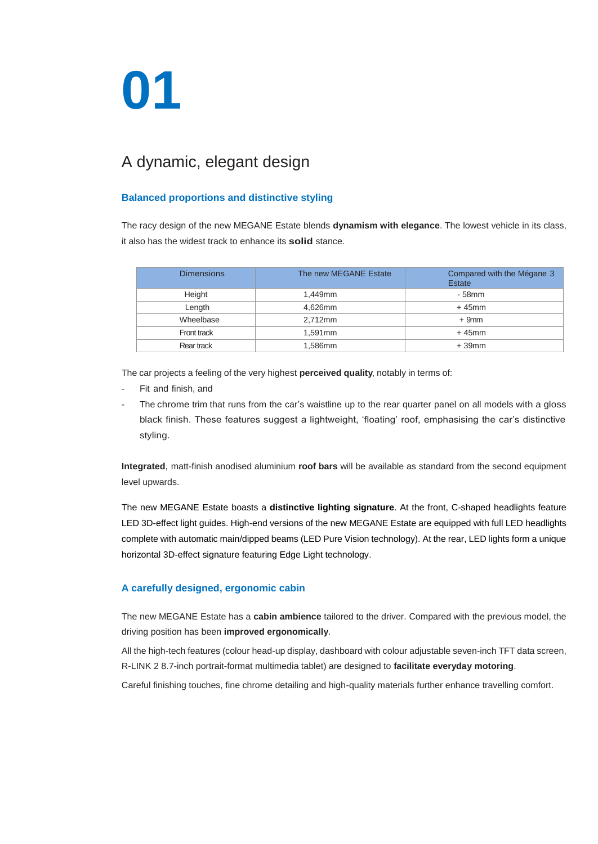## **01**

# **2** A dynamic, elegant design

## **distinc<br>BANE E Balanced proportions and distinctive styling**

The racy design of the new MEGANE Estate blends **dynamism with elegance**. The lowest vehicle in its class,

| it also has the widest track to enhance its <b>solid</b> stance. |                       |                                      |
|------------------------------------------------------------------|-----------------------|--------------------------------------|
| <b>Dimensions</b>                                                | The new MEGANE Estate | Compared with the Mégane 3<br>Estate |
| Height                                                           | 1,449mm               | - 58mm                               |
| Length                                                           | 4,626mm               | $+45$ mm                             |
| Wheelbase                                                        | 2,712mm               | $+9mm$                               |
| Front track                                                      | 1,591mm               | $+45$ mm                             |
| Rear track                                                       | 1,586mm               | $+39$ mm                             |
|                                                                  |                       |                                      |

The car projects a feeling of the very highest **perceived quality**, notably in terms of:

- Fit and finish, and
- The chrome trim that runs from the car's waistline up to the rear quarter panel on all models with a gloss black finish. These features suggest a lightweight, 'floating' roof, emphasising the car's distinctive styling.

**Integrated**, matt-finish anodised aluminium **roof bars** will be available as standard from the second equipment level upwards.

The new MEGANE Estate boasts a **distinctive lighting signature**. At the front, C-shaped headlights feature LED 3D-effect light guides. High-end versions of the new MEGANE Estate are equipped with full LED headlights complete with automatic main/dipped beams (LED Pure Vision technology). At the rear, LED lights form a unique horizontal 3D-effect signature featuring Edge Light technology.

#### **A carefully designed, ergonomic cabin**

The new MEGANE Estate has a **cabin ambience** tailored to the driver. Compared with the previous model, the driving position has been **improved ergonomically**.

All the high-tech features (colour head-up display, dashboard with colour adjustable seven-inch TFT data screen, R-LINK 2 8.7-inch portrait-format multimedia tablet) are designed to **facilitate everyday motoring**.

Careful finishing touches, fine chrome detailing and high-quality materials further enhance travelling comfort.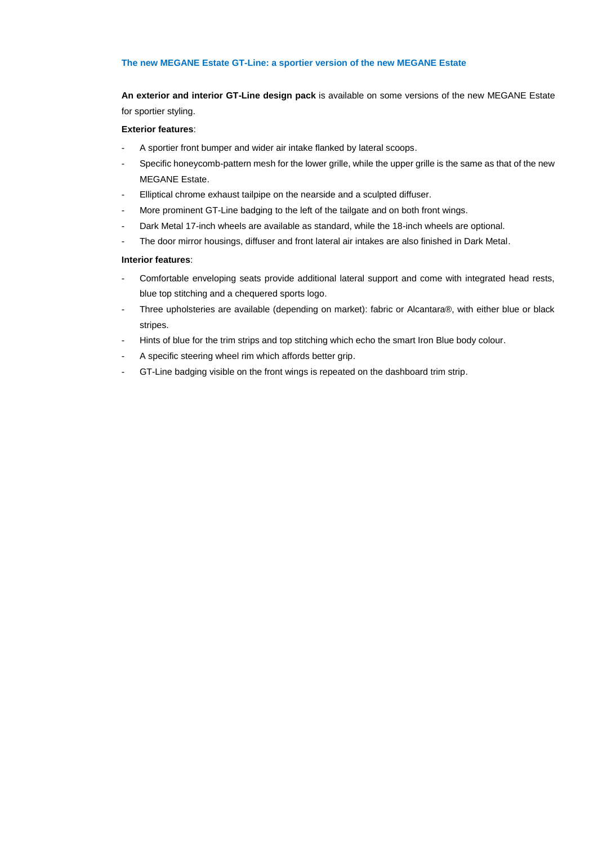#### **The new MEGANE Estate GT-Line: a sportier version of the new MEGANE Estate**

.ine: a **:**<br>ne desi **An exterior and interior GT-Line design pack** is available on some versions of the new MEGANE Estate for sportier styling.

#### **Exterior features**:

- wider a<br>mesh f - A sportier front bumper and wider air intake flanked by lateral scoops.
- Specific honeycomb-pattern mesh for the lower grille, while the upper grille is the same as that of the new MEGANE Estate.
- Elliptical chrome exhaust tailpipe on the nearside and a sculpted diffuser.
- **lpipe or**<br>dging to<br>are avai - More prominent GT-Line badging to the left of the tailgate and on both front wings.
- Dark Metal 17-inch wheels are available as standard, while the 18-inch wheels are optional.
- The door mirror housings, diffuser and front lateral air intakes are also finished in Dark Metal.

#### **Interior features**:

- The door mirror housings, diffuser and front lateral air intakes are also finished in Dark Metal.<br> **Interior features**:<br> **3. Comfortable enveloping seats provide additional lateral support and come with integrated head res** blue top stitching and a chequered sports logo.
- Three upholsteries are available (depending on market): fabric or Alcantara®, with either blue or black stripes.
- Hints of blue for the trim strips and top stitching which echo the smart Iron Blue body colour.
- A specific steering wheel rim which affords better grip.
- GT-Line badging visible on the front wings is repeated on the dashboard trim strip.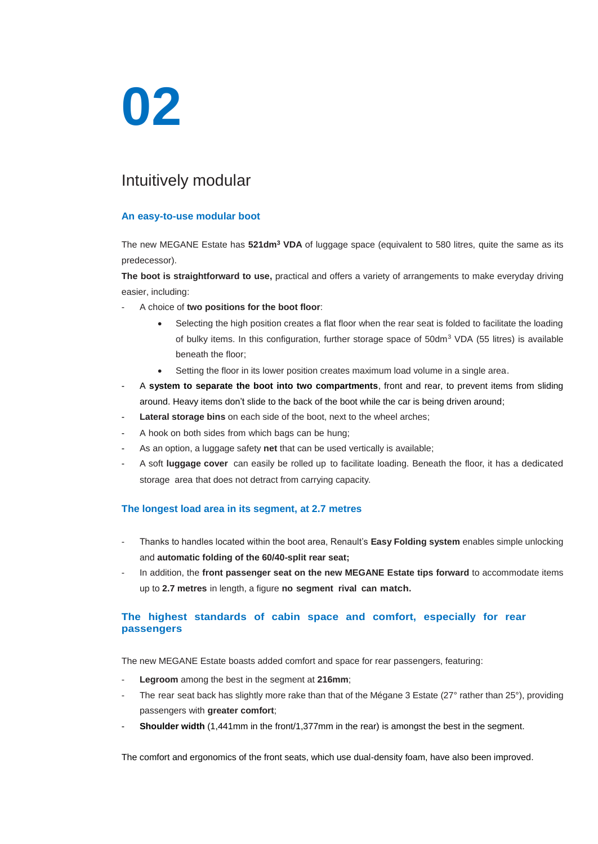## **02**

### Intuitively modular

## **0**<br>**0 An easy-to-use modular boot**

The new MEGANE Estate has **521dm<sup>3</sup> VDA** of luggage space (equivalent to 580 litres, quite the same as its predecessor).<br>The boot is straightforward to use, practical and offers a variety of arrangements to make everyday d predecessor).

**The boot is straightforward to use,** practical and offers a variety of arrangements to make everyday driving easier, including:

- A choice of **two positions for the boot floor**:
	- Selecting the high position creates a flat floor when the rear seat is folded to facilitate the loading of bulky items. In this configuration, further storage space of 50dm<sup>3</sup> VDA (55 litres) is available beneath the floor;
	- Setting the floor in its lower position creates maximum load volume in a single area.
- A system to separate the boot into two compartments, front and rear, to prevent items from sliding around. Heavy items don't slide to the back of the boot while the car is being driven around;
- Lateral storage bins on each side of the boot, next to the wheel arches;
- A hook on both sides from which bags can be hung;
- As an option, a luggage safety net that can be used vertically is available;
- A soft **luggage cover** can easily be rolled up to facilitate loading. Beneath the floor, it has a dedicated storage area that does not detract from carrying capacity.

#### **The longest load area in its segment, at 2.7 metres**

- Thanks to handles located within the boot area, Renault's **Easy Folding system** enables simple unlocking and **automatic folding of the 60/40-split rear seat;**
- In addition, the **front passenger seat on the new MEGANE Estate tips forward** to accommodate items up to **2.7 metres** in length, a figure **no segment rival can match.**

#### **The highest standards of cabin space and comfort, especially for rear passengers**

The new MEGANE Estate boasts added comfort and space for rear passengers, featuring:

- Legroom among the best in the segment at 216mm;
- The rear seat back has slightly more rake than that of the Mégane 3 Estate (27° rather than 25°), providing passengers with **greater comfort**;
- **Shoulder width** (1,441mm in the front/1,377mm in the rear) is amongst the best in the segment.

The comfort and ergonomics of the front seats, which use dual-density foam, have also been improved.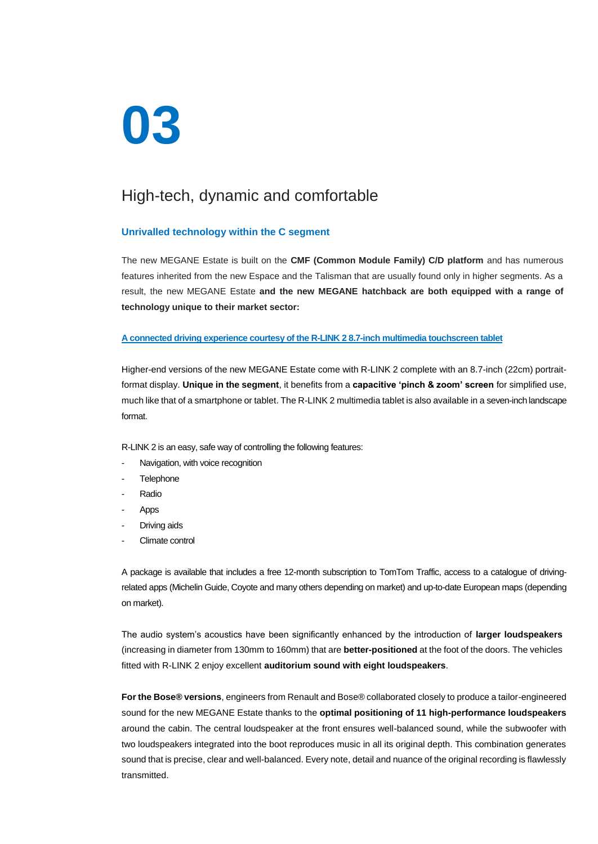## **03**

## **c** an High-tech, dynamic and comfortable

#### **Unrivalled technology within the C segment**

ilt on th<br>Espace<br>**3 and** t The new MEGANE Estate is built on the **CMF (Common Module Family) C/D platform** and has numerous features inherited from the new Espace and the Talisman that are usually found only in higher segments. As a result, the new MEGANE Estate **and the new MEGANE hatchback are both equipped with a range of technology unique to their market sector:**

#### **A connected driving experience courtesy of the R-LINK 2 8.7-inch multimedia touchscreen tablet**

Higher-end versions of the new MEGANE Estate come with R-LINK 2 complete with an 8.7-inch (22cm) portraitformat display. **Unique in the segment**, it benefits from a **capacitive 'pinch & zoom' screen** for simplified use, much like that of a smartphone or tablet. The R-LINK 2 multimedia tablet is also available in a seven-inch landscape format.

R-LINK 2 is an easy, safe way of controlling the following features:

- Navigation, with voice recognition
- **Telephone**
- **Radio**
- Apps
- Driving aids
- Climate control

A package is available that includes a free 12-month subscription to TomTom Traffic, access to a catalogue of drivingrelated apps (Michelin Guide, Coyote and many others depending on market) and up-to-date European maps (depending on market).

The audio system's acoustics have been significantly enhanced by the introduction of **larger loudspeakers** (increasing in diameter from 130mm to 160mm) that are **better-positioned** at the foot of the doors. The vehicles fitted with R-LINK 2 enjoy excellent **auditorium sound with eight loudspeakers**.

**For the Bose® versions**, engineers from Renault and Bose® collaborated closely to produce a tailor-engineered sound for the new MEGANE Estate thanks to the **optimal positioning of 11 high-performance loudspeakers** around the cabin. The central loudspeaker at the front ensures well-balanced sound, while the subwoofer with two loudspeakers integrated into the boot reproduces music in all its original depth. This combination generates sound that is precise, clear and well-balanced. Every note, detail and nuance of the original recording is flawlessly transmitted.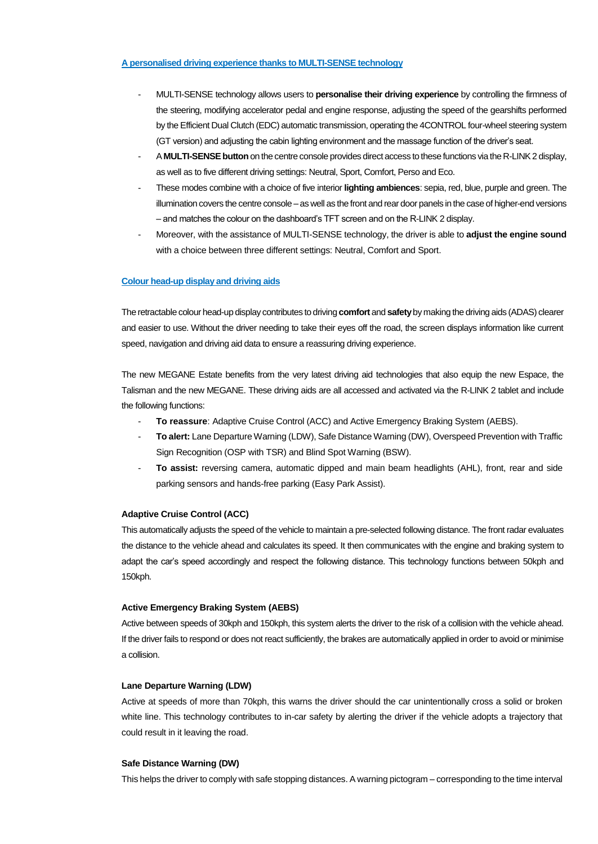#### **A personalised driving experience thanks to MULTI-SENSE technology**

- **e thank**<br>y allows **2** - MULTI-SENSE technology allows users to **personalise their driving experience** by controlling the firmness of the steering, modifying accelerator pedal and engine response, adjusting the speed of the gearshifts performed by the Efficient Dual Clutch (EDC) automatic transmission, operating the 4CONTROL four-wheel steering system (GT version) and adjusting the cabin lighting environment and the massage function of the driver's seat.
- A **MULTI-SENSE button** on the centre console provides direct access to these functions via the R-LINK 2 display, as well as to five different driving settings: Neutral, Sport, Comfort, Perso and Eco.
- th a cho<br>tre cons<br>on the d - These modes combine with a choice of five interior **lighting ambiences**: sepia, red, blue, purple and green. The illumination covers the centre console – as well as the front and rear door panels in the case of higher-end versions – and matches the colour on the dashboard's TFT screen and on the R-LINK 2 display.
- Finance Colour head-up display and driving aids - Moreover, with the assistance of MULTI-SENSE technology, the driver is able to **adjust the engine sound** with a choice between three different settings: Neutral, Comfort and Sport.

The retractable colour head-up display contributes to driving **comfort** and **safety**by making the driving aids (ADAS) clearer and easier to use. Without the driver needing to take their eyes off the road, the screen displays information like current speed, navigation and driving aid data to ensure a reassuring driving experience.

The new MEGANE Estate benefits from the very latest driving aid technologies that also equip the new Espace, the Talisman and the new MEGANE. These driving aids are all accessed and activated via the R-LINK 2 tablet and include the following functions:

- **To reassure**: Adaptive Cruise Control (ACC) and Active Emergency Braking System (AEBS).
- **To alert:** Lane Departure Warning (LDW), Safe Distance Warning (DW), Overspeed Prevention with Traffic Sign Recognition (OSP with TSR) and Blind Spot Warning (BSW).
- **To assist:** reversing camera, automatic dipped and main beam headlights (AHL), front, rear and side parking sensors and hands-free parking (Easy Park Assist).

#### **Adaptive Cruise Control (ACC)**

This automatically adjusts the speed of the vehicle to maintain a pre-selected following distance. The front radar evaluates the distance to the vehicle ahead and calculates its speed. It then communicates with the engine and braking system to adapt the car's speed accordingly and respect the following distance. This technology functions between 50kph and 150kph.

#### **Active Emergency Braking System (AEBS)**

Active between speeds of 30kph and 150kph, this system alerts the driver to the risk of a collision with the vehicle ahead. If the driver fails to respond or does not react sufficiently, the brakes are automatically applied in order to avoid or minimise a collision.

#### **Lane Departure Warning (LDW)**

Active at speeds of more than 70kph, this warns the driver should the car unintentionally cross a solid or broken white line. This technology contributes to in-car safety by alerting the driver if the vehicle adopts a trajectory that could result in it leaving the road.

#### **Safe Distance Warning (DW)**

This helps the driver to comply with safe stopping distances. A warning pictogram – corresponding to the time interval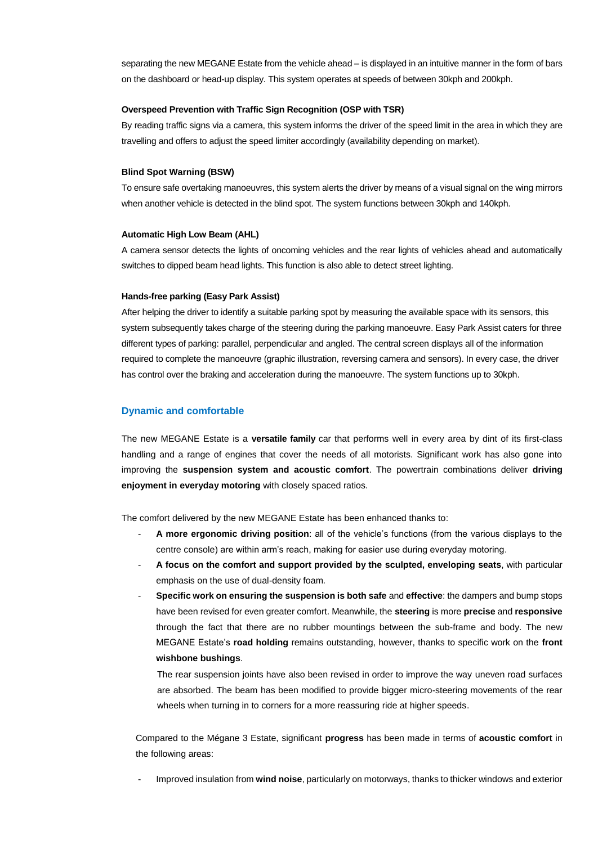ate from<br><sup>May.</sup> Thi:<br>Carrier separating the new MEGANE Estate from the vehicle ahead – is displayed in an intuitive manner in the form of bars on the dashboard or head-up display. This system operates at speeds of between 30kph and 200kph.

#### **Overspeed Prevention with Traffic Sign Recognition (OSP with TSR)**

**22**<br>era, this<br>speed line By reading traffic signs via a camera, this system informs the driver of the speed limit in the area in which they are travelling and offers to adjust the speed limiter accordingly (availability depending on market).

#### **Blind Spot Warning (BSW)**

uvres, t<mark>l</mark><br>in the bl To ensure safe overtaking manoeuvres, this system alerts the driver by means of a visual signal on the wing mirrors when another vehicle is detected in the blind spot. The system functions between 30kph and 140kph.

#### **Automatic High Low Beam (AHL)**

-**7**<br>ts of on<br>hts. This A camera sensor detects the lights of oncoming vehicles and the rear lights of vehicles ahead and automatically switches to dipped beam head lights. This function is also able to detect street lighting.

#### **Hands-free parking (Easy Park Assist)**

After helping the driver to identify a suitable parking spot by measuring the available space with its sensors, this system subsequently takes charge of the steering during the parking manoeuvre. Easy Park Assist caters for three different types of parking: parallel, perpendicular and angled. The central screen displays all of the information required to complete the manoeuvre (graphic illustration, reversing camera and sensors). In every case, the driver has control over the braking and acceleration during the manoeuvre. The system functions up to 30kph.

#### **Dynamic and comfortable**

The new MEGANE Estate is a **versatile family** car that performs well in every area by dint of its first-class handling and a range of engines that cover the needs of all motorists. Significant work has also gone into improving the **suspension system and acoustic comfort**. The powertrain combinations deliver **driving enjoyment in everyday motoring** with closely spaced ratios.

The comfort delivered by the new MEGANE Estate has been enhanced thanks to:

- **A more ergonomic driving position**: all of the vehicle's functions (from the various displays to the centre console) are within arm's reach, making for easier use during everyday motoring.
- **A focus on the comfort and support provided by the sculpted, enveloping seats**, with particular emphasis on the use of dual-density foam*.*
- **Specific work on ensuring the suspension is both safe** and **effective**: the dampers and bump stops have been revised for even greater comfort. Meanwhile, the **steering** is more **precise** and **responsive** through the fact that there are no rubber mountings between the sub-frame and body. The new MEGANE Estate's **road holding** remains outstanding, however, thanks to specific work on the **front wishbone bushings**.

The rear suspension joints have also been revised in order to improve the way uneven road surfaces are absorbed. The beam has been modified to provide bigger micro-steering movements of the rear wheels when turning in to corners for a more reassuring ride at higher speeds.

Compared to the Mégane 3 Estate, significant **progress** has been made in terms of **acoustic comfort** in the following areas:

- Improved insulation from **wind noise**, particularly on motorways, thanks to thicker windows and exterior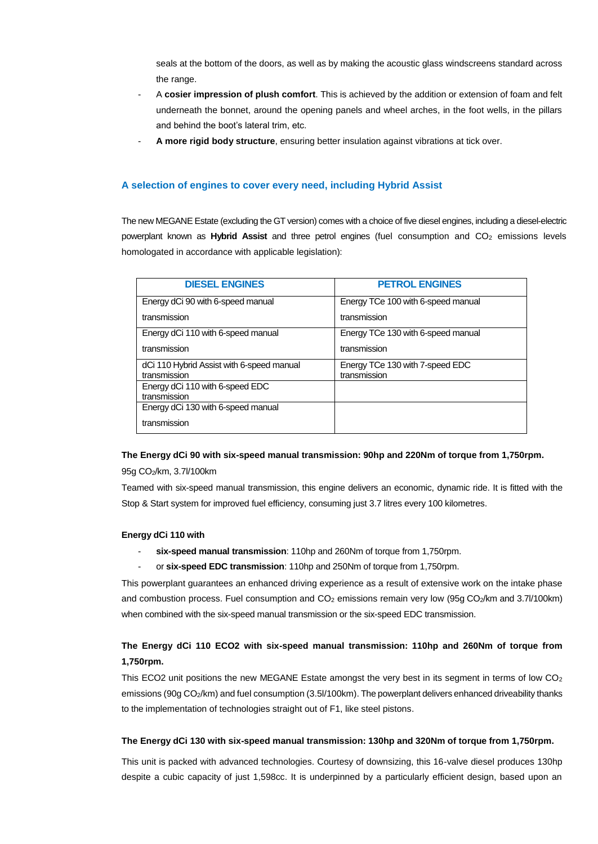bottom of the doors, as well as by making the acoustic glass windscreens standard across<br>the range.<br>A **cosier impression of plush comfort**. This is achieved by the addition or extension of foam and felt seals at the bottom of the doors, as well as by making the acoustic glass windscreens standard across the range.

- **2** underneath the bonnet, around the opening panels and wheel arches, in the foot wells, in the pillars and behind the boot's lateral trim, etc.
- **A more rigid body structure**, ensuring better insulation against vibrations at tick over.

A selection of engines to cover every need, including Hybrid Assist<br>The new MEGANE Estate (excluding the GT version) comes with a choice of five diesel **a**<br>**applica**<br>**ES** The new MEGANE Estate (excluding the GT version) comes with a choice of five diesel engines, including a diesel-electric powerplant known as **Hybrid Assist** and three petrol engines (fuel consumption and CO<sub>2</sub> emissions levels homologated in accordance with applicable legislation):

| <b>DIESEL ENGINES</b>                     | <b>PETROL ENGINES</b>              |
|-------------------------------------------|------------------------------------|
| Energy dCi 90 with 6-speed manual         | Energy TCe 100 with 6-speed manual |
| transmission                              | transmission                       |
| Energy dCi 110 with 6-speed manual        | Energy TCe 130 with 6-speed manual |
| transmission                              | transmission                       |
| dCi 110 Hybrid Assist with 6-speed manual | Energy TCe 130 with 7-speed EDC    |
| transmission                              | transmission                       |
| Energy dCi 110 with 6-speed EDC           |                                    |
| transmission                              |                                    |
| Energy dCi 130 with 6-speed manual        |                                    |
| transmission                              |                                    |

#### **The Energy dCi 90 with six-speed manual transmission: 90hp and 220Nm of torque from 1,750rpm.**

#### 95g CO2/km, 3.7l/100km

Teamed with six-speed manual transmission, this engine delivers an economic, dynamic ride. It is fitted with the Stop & Start system for improved fuel efficiency, consuming just 3.7 litres every 100 kilometres.

#### **Energy dCi 110 with**

- six-speed manual transmission: 110hp and 260Nm of torque from 1,750rpm.
- or **six-speed EDC transmission**: 110hp and 250Nm of torque from 1,750rpm.

This powerplant guarantees an enhanced driving experience as a result of extensive work on the intake phase and combustion process. Fuel consumption and  $CO<sub>2</sub>$  emissions remain very low (95g  $CO<sub>2</sub>/km$  and 3.7l/100km) when combined with the six-speed manual transmission or the six-speed EDC transmission.

#### **The Energy dCi 110 ECO2 with six-speed manual transmission: 110hp and 260Nm of torque from 1,750rpm.**

This ECO2 unit positions the new MEGANE Estate amongst the very best in its segment in terms of low  $CO<sub>2</sub>$ emissions (90g CO2/km) and fuel consumption (3.5l/100km). The powerplant delivers enhanced driveability thanks to the implementation of technologies straight out of F1, like steel pistons.

#### **The Energy dCi 130 with six-speed manual transmission: 130hp and 320Nm of torque from 1,750rpm.**

This unit is packed with advanced technologies. Courtesy of downsizing, this 16-valve diesel produces 130hp despite a cubic capacity of just 1,598cc. It is underpinned by a particularly efficient design, based upon an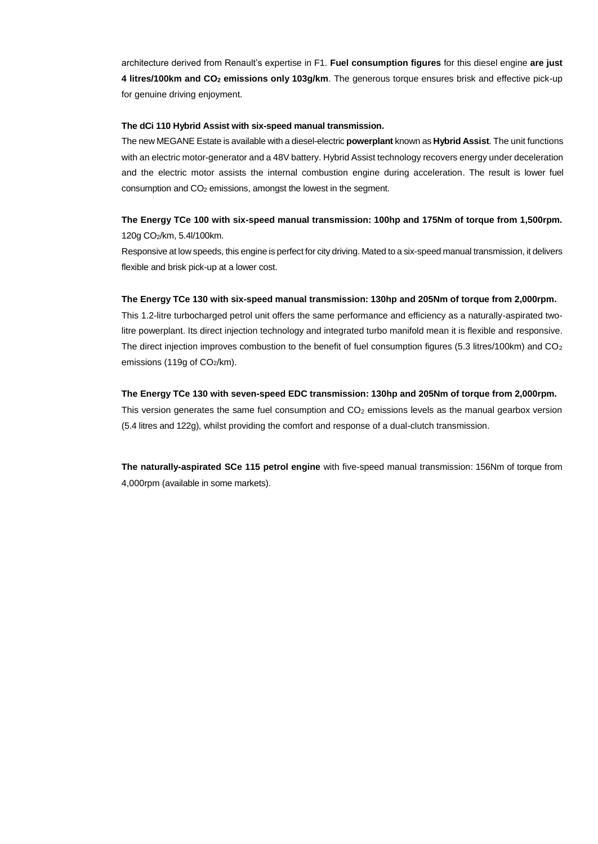lt's exp<br>**ions on** architecture derived from Renault's expertise in F1. **Fuel consumption figures** for this diesel engine **are just 4 litres/100km and CO<sup>2</sup> emissions only 103g/km**. The generous torque ensures brisk and effective pick-up for genuine driving enjoyment.

#### **The dCi 110 Hybrid Assist with six-speed manual transmission.**

**six-spe**<br>able with<br>and a 48 and an<br>among:<br>**speed** r The new MEGANE Estate is available with a diesel-electric **powerplant** known as **Hybrid Assist**. The unit functions with an electric motor-generator and a 48V battery. Hybrid Assist technology recovers energy under deceleration and the electric motor assists the internal combustion engine during acceleration. The result is lower fuel consumption and CO<sup>2</sup> emissions, amongst the lowest in the segment.

### **The Energy TCe 100 with six-speed manual transmission: 100hp and 175Nm of torque from 1,500rpm.** 120g CO2/km, 5.4l/100km.

gine is p<br>er cost. Responsive at low speeds, this engine is perfect for city driving. Mated to a six-speed manual transmission, it delivers flexible and brisk pick-up at a lower cost.

#### **The Energy TCe 130 with six-speed manual transmission: 130hp and 205Nm of torque from 2,000rpm.**

This 1.2-litre turbocharged petrol unit offers the same performance and efficiency as a naturally-aspirated twolitre powerplant. Its direct injection technology and integrated turbo manifold mean it is flexible and responsive. The direct injection improves combustion to the benefit of fuel consumption figures (5.3 litres/100km) and  $CO<sub>2</sub>$ emissions (119g of CO2/km).

#### **The Energy TCe 130 with seven-speed EDC transmission: 130hp and 205Nm of torque from 2,000rpm.**

This version generates the same fuel consumption and  $CO<sub>2</sub>$  emissions levels as the manual gearbox version (5.4 litres and 122g), whilst providing the comfort and response of a dual-clutch transmission.

**The naturally-aspirated SCe 115 petrol engine** with five-speed manual transmission: 156Nm of torque from 4,000rpm (available in some markets).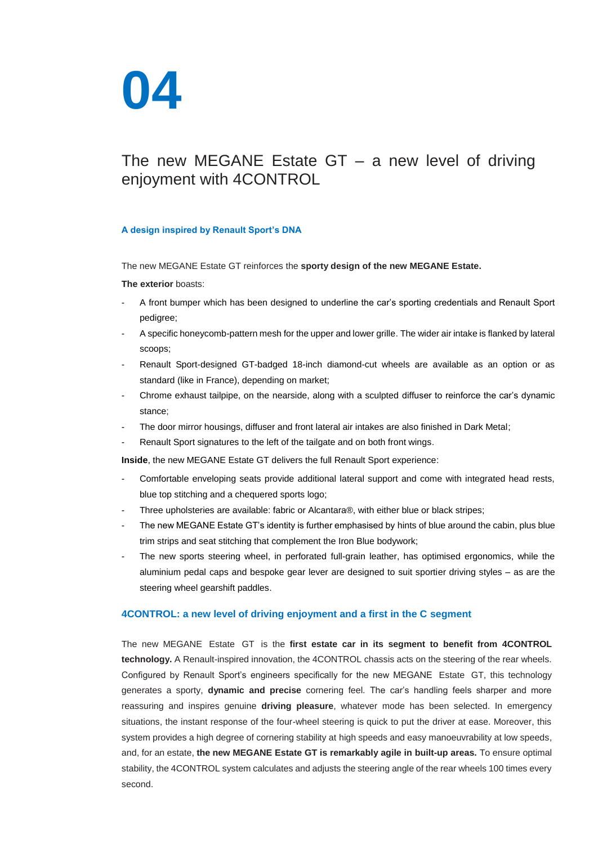

# **2** The new MEGANE Estate GT – a new level of driving **0** enjoyment with 4CONTROL

#### **A design inspired by Renault Sport's DNA**

**inforces** The new MEGANE Estate GT reinforces the **sporty design of the new MEGANE Estate.**

#### **The exterior** boasts:

- A front bumper which has been designed to underline the car's sporting credentials and Renault Sport pedigree;
- A specific honeycomb-pattern mesh for the upper and lower grille. The wider air intake is flanked by lateral scoops;
- Renault Sport-designed GT-badged 18-inch diamond-cut wheels are available as an option or as standard (like in France), depending on market;
- Chrome exhaust tailpipe, on the nearside, along with a sculpted diffuser to reinforce the car's dynamic stance;
- The door mirror housings, diffuser and front lateral air intakes are also finished in Dark Metal;
- Renault Sport signatures to the left of the tailgate and on both front wings.

**Inside**, the new MEGANE Estate GT delivers the full Renault Sport experience:

- Comfortable enveloping seats provide additional lateral support and come with integrated head rests, blue top stitching and a chequered sports logo;
- Three upholsteries are available: fabric or Alcantara®, with either blue or black stripes;
- The new MEGANE Estate GT's identity is further emphasised by hints of blue around the cabin, plus blue trim strips and seat stitching that complement the Iron Blue bodywork;
- The new sports steering wheel, in perforated full-grain leather, has optimised ergonomics, while the aluminium pedal caps and bespoke gear lever are designed to suit sportier driving styles – as are the steering wheel gearshift paddles.

#### **4CONTROL: a new level of driving enjoyment and a first in the C segment**

The new MEGANE Estate GT is the **first estate car in its segment to benefit from 4CONTROL technology.** A Renault-inspired innovation, the 4CONTROL chassis acts on the steering of the rear wheels. Configured by Renault Sport's engineers specifically for the new MEGANE Estate GT, this technology generates a sporty, **dynamic and precise** cornering feel. The car's handling feels sharper and more reassuring and inspires genuine **driving pleasure**, whatever mode has been selected. In emergency situations, the instant response of the four-wheel steering is quick to put the driver at ease. Moreover, this system provides a high degree of cornering stability at high speeds and easy manoeuvrability at low speeds, and, for an estate, **the new MEGANE Estate GT is remarkably agile in built-up areas.** To ensure optimal stability, the 4CONTROL system calculates and adjusts the steering angle of the rear wheels 100 times every second.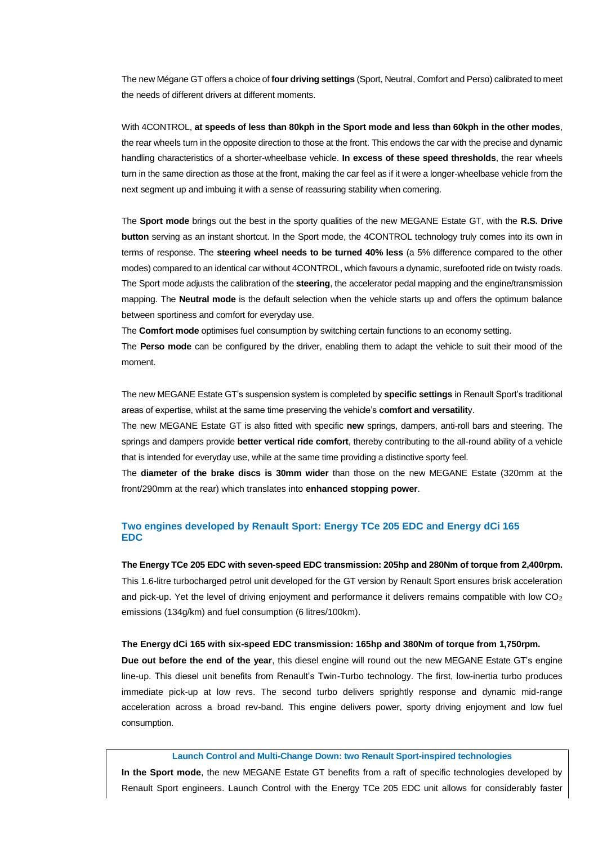ce of **fo**<br>fferent n The new Mégane GT offers a choice of **four driving settings** (Sport, Neutral, Comfort and Perso) calibrated to meet the needs of different drivers at different moments.

**ess tha**<br>e directi<br>ter-whe *o* at the fille<br>ith a ser<br>pest in t With 4CONTROL, **at speeds of less than 80kph in the Sport mode and less than 60kph in the other modes**, the rear wheels turn in the opposite direction to those at the front. This endows the car with the precise and dynamic handling characteristics of a shorter-wheelbase vehicle. **In excess of these speed thresholds**, the rear wheels turn in the same direction as those at the front, making the car feel as if it were a longer-wheelbase vehicle from the next segment up and imbuing it with a sense of reassuring stability when cornering.

**33** Button serving as an instant shortcut. In the sport mode, the 4CONTROL technology truly comes into its own in<br>terms of response. The **steering wheel needs to be turned 40% less** (a 5% difference compared to the other<br> The **Sport mode** brings out the best in the sporty qualities of the new MEGANE Estate GT, with the **R.S. Drive button** serving as an instant shortcut. In the Sport mode, the 4CONTROL technology truly comes into its own in terms of response. The **steering wheel needs to be turned 40% less** (a 5% difference compared to the other modes) compared to an identical car without 4CONTROL, which favours a dynamic, surefooted ride on twisty roads. mapping. The **Neutral mode** is the default selection when the vehicle starts up and offers the optimum balance between sportiness and comfort for everyday use.

The **Comfort mode** optimises fuel consumption by switching certain functions to an economy setting.

The **Perso mode** can be configured by the driver, enabling them to adapt the vehicle to suit their mood of the moment.

The new MEGANE Estate GT's suspension system is completed by **specific settings** in Renault Sport's traditional areas of expertise, whilst at the same time preserving the vehicle's **comfort and versatilit**y.

The new MEGANE Estate GT is also fitted with specific **new** springs, dampers, anti-roll bars and steering. The springs and dampers provide **better vertical ride comfort**, thereby contributing to the all-round ability of a vehicle that is intended for everyday use, while at the same time providing a distinctive sporty feel.

The **diameter of the brake discs is 30mm wider** than those on the new MEGANE Estate (320mm at the front/290mm at the rear) which translates into **enhanced stopping power**.

#### **Two engines developed by Renault Sport: Energy TCe 205 EDC and Energy dCi 165 EDC**

#### **The Energy TCe 205 EDC with seven-speed EDC transmission: 205hp and 280Nm of torque from 2,400rpm.**

This 1.6-litre turbocharged petrol unit developed for the GT version by Renault Sport ensures brisk acceleration and pick-up. Yet the level of driving enjoyment and performance it delivers remains compatible with low  $CO<sub>2</sub>$ emissions (134g/km) and fuel consumption (6 litres/100km).

#### **The Energy dCi 165 with six-speed EDC transmission: 165hp and 380Nm of torque from 1,750rpm.**

**Due out before the end of the year**, this diesel engine will round out the new MEGANE Estate GT's engine line-up. This diesel unit benefits from Renault's Twin-Turbo technology. The first, low-inertia turbo produces immediate pick-up at low revs. The second turbo delivers sprightly response and dynamic mid-range acceleration across a broad rev-band. This engine delivers power, sporty driving enjoyment and low fuel consumption.

#### **Launch Control and Multi-Change Down: two Renault Sport-inspired technologies**

**In the Sport mode**, the new MEGANE Estate GT benefits from a raft of specific technologies developed by Renault Sport engineers. Launch Control with the Energy TCe 205 EDC unit allows for considerably faster